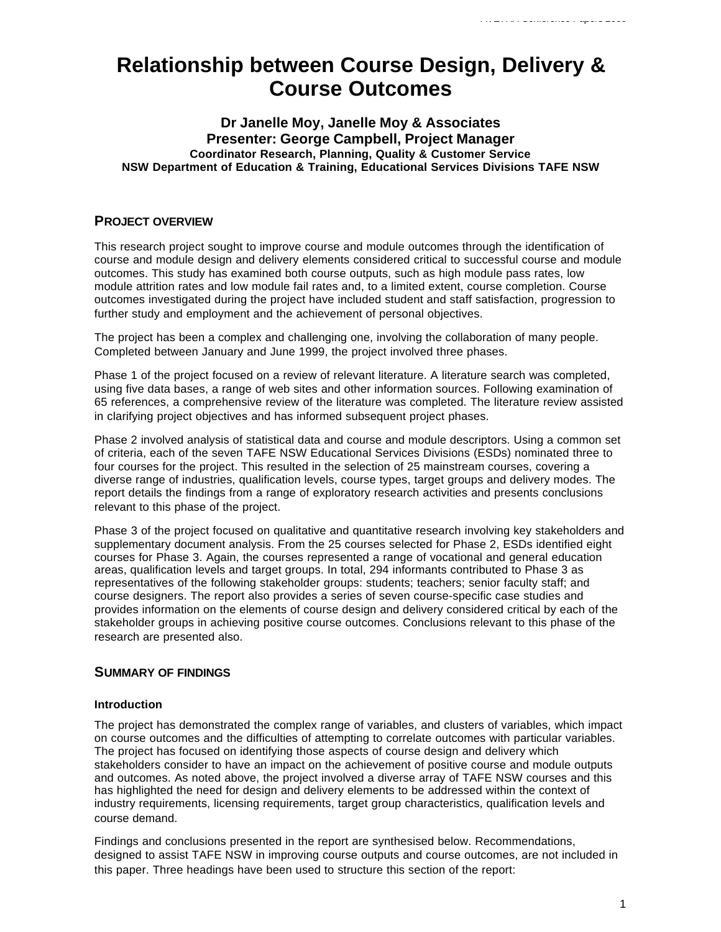# **Relationship between Course Design, Delivery & Course Outcomes**

# **Dr Janelle Moy, Janelle Moy & Associates Presenter: George Campbell, Project Manager Coordinator Research, Planning, Quality & Customer Service NSW Department of Education & Training, Educational Services Divisions TAFE NSW**

# **PROJECT OVERVIEW**

This research project sought to improve course and module outcomes through the identification of course and module design and delivery elements considered critical to successful course and module outcomes. This study has examined both course outputs, such as high module pass rates, low module attrition rates and low module fail rates and, to a limited extent, course completion. Course outcomes investigated during the project have included student and staff satisfaction, progression to further study and employment and the achievement of personal objectives.

The project has been a complex and challenging one, involving the collaboration of many people. Completed between January and June 1999, the project involved three phases.

Phase 1 of the project focused on a review of relevant literature. A literature search was completed, using five data bases, a range of web sites and other information sources. Following examination of 65 references, a comprehensive review of the literature was completed. The literature review assisted in clarifying project objectives and has informed subsequent project phases.

Phase 2 involved analysis of statistical data and course and module descriptors. Using a common set of criteria, each of the seven TAFE NSW Educational Services Divisions (ESDs) nominated three to four courses for the project. This resulted in the selection of 25 mainstream courses, covering a diverse range of industries, qualification levels, course types, target groups and delivery modes. The report details the findings from a range of exploratory research activities and presents conclusions relevant to this phase of the project.

Phase 3 of the project focused on qualitative and quantitative research involving key stakeholders and supplementary document analysis. From the 25 courses selected for Phase 2, ESDs identified eight courses for Phase 3. Again, the courses represented a range of vocational and general education areas, qualification levels and target groups. In total, 294 informants contributed to Phase 3 as representatives of the following stakeholder groups: students; teachers; senior faculty staff; and course designers. The report also provides a series of seven course-specific case studies and provides information on the elements of course design and delivery considered critical by each of the stakeholder groups in achieving positive course outcomes. Conclusions relevant to this phase of the research are presented also.

# **SUMMARY OF FINDINGS**

# **Introduction**

The project has demonstrated the complex range of variables, and clusters of variables, which impact on course outcomes and the difficulties of attempting to correlate outcomes with particular variables. The project has focused on identifying those aspects of course design and delivery which stakeholders consider to have an impact on the achievement of positive course and module outputs and outcomes. As noted above, the project involved a diverse array of TAFE NSW courses and this has highlighted the need for design and delivery elements to be addressed within the context of industry requirements, licensing requirements, target group characteristics, qualification levels and course demand.

Findings and conclusions presented in the report are synthesised below. Recommendations, designed to assist TAFE NSW in improving course outputs and course outcomes, are not included in this paper. Three headings have been used to structure this section of the report: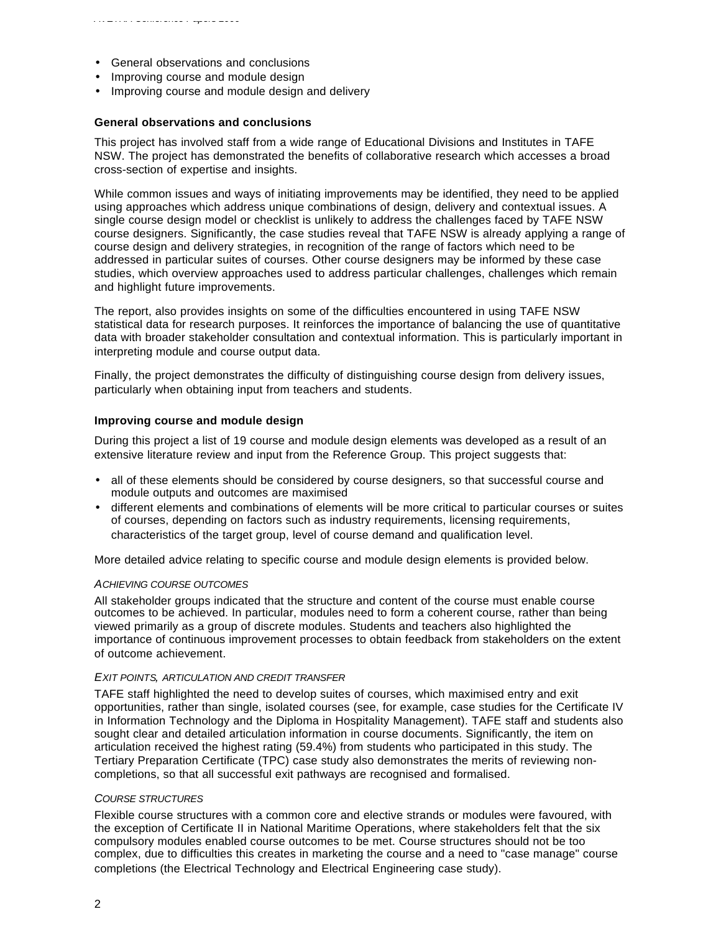- General observations and conclusions
- Improving course and module design
- Improving course and module design and delivery

### **General observations and conclusions**

This project has involved staff from a wide range of Educational Divisions and Institutes in TAFE NSW. The project has demonstrated the benefits of collaborative research which accesses a broad cross-section of expertise and insights.

While common issues and ways of initiating improvements may be identified, they need to be applied using approaches which address unique combinations of design, delivery and contextual issues. A single course design model or checklist is unlikely to address the challenges faced by TAFE NSW course designers. Significantly, the case studies reveal that TAFE NSW is already applying a range of course design and delivery strategies, in recognition of the range of factors which need to be addressed in particular suites of courses. Other course designers may be informed by these case studies, which overview approaches used to address particular challenges, challenges which remain and highlight future improvements.

The report, also provides insights on some of the difficulties encountered in using TAFE NSW statistical data for research purposes. It reinforces the importance of balancing the use of quantitative data with broader stakeholder consultation and contextual information. This is particularly important in interpreting module and course output data.

Finally, the project demonstrates the difficulty of distinguishing course design from delivery issues, particularly when obtaining input from teachers and students.

# **Improving course and module design**

During this project a list of 19 course and module design elements was developed as a result of an extensive literature review and input from the Reference Group. This project suggests that:

- all of these elements should be considered by course designers, so that successful course and module outputs and outcomes are maximised
- different elements and combinations of elements will be more critical to particular courses or suites of courses, depending on factors such as industry requirements, licensing requirements, characteristics of the target group, level of course demand and qualification level.

More detailed advice relating to specific course and module design elements is provided below.

#### *ACHIEVING COURSE OUTCOMES*

All stakeholder groups indicated that the structure and content of the course must enable course outcomes to be achieved. In particular, modules need to form a coherent course, rather than being viewed primarily as a group of discrete modules. Students and teachers also highlighted the importance of continuous improvement processes to obtain feedback from stakeholders on the extent of outcome achievement.

#### *EXIT POINTS, ARTICULATION AND CREDIT TRANSFER*

TAFE staff highlighted the need to develop suites of courses, which maximised entry and exit opportunities, rather than single, isolated courses (see, for example, case studies for the Certificate IV in Information Technology and the Diploma in Hospitality Management). TAFE staff and students also sought clear and detailed articulation information in course documents. Significantly, the item on articulation received the highest rating (59.4%) from students who participated in this study. The Tertiary Preparation Certificate (TPC) case study also demonstrates the merits of reviewing noncompletions, so that all successful exit pathways are recognised and formalised.

#### *COURSE STRUCTURES*

Flexible course structures with a common core and elective strands or modules were favoured, with the exception of Certificate II in National Maritime Operations, where stakeholders felt that the six compulsory modules enabled course outcomes to be met. Course structures should not be too complex, due to difficulties this creates in marketing the course and a need to "case manage" course completions (the Electrical Technology and Electrical Engineering case study).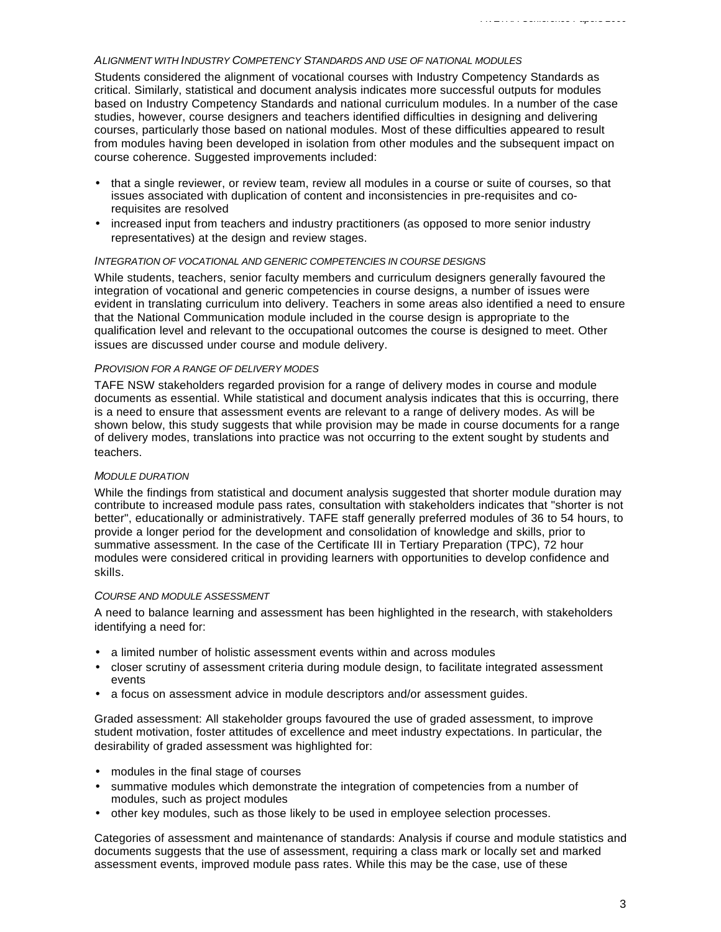# *ALIGNMENT WITH INDUSTRY COMPETENCY STANDARDS AND USE OF NATIONAL MODULES*

Students considered the alignment of vocational courses with Industry Competency Standards as critical. Similarly, statistical and document analysis indicates more successful outputs for modules based on Industry Competency Standards and national curriculum modules. In a number of the case studies, however, course designers and teachers identified difficulties in designing and delivering courses, particularly those based on national modules. Most of these difficulties appeared to result from modules having been developed in isolation from other modules and the subsequent impact on course coherence. Suggested improvements included:

- that a single reviewer, or review team, review all modules in a course or suite of courses, so that issues associated with duplication of content and inconsistencies in pre-requisites and corequisites are resolved
- increased input from teachers and industry practitioners (as opposed to more senior industry representatives) at the design and review stages.

#### *INTEGRATION OF VOCATIONAL AND GENERIC COMPETENCIES IN COURSE DESIGNS*

While students, teachers, senior faculty members and curriculum designers generally favoured the integration of vocational and generic competencies in course designs, a number of issues were evident in translating curriculum into delivery. Teachers in some areas also identified a need to ensure that the National Communication module included in the course design is appropriate to the qualification level and relevant to the occupational outcomes the course is designed to meet. Other issues are discussed under course and module delivery.

# *PROVISION FOR A RANGE OF DELIVERY MODES*

TAFE NSW stakeholders regarded provision for a range of delivery modes in course and module documents as essential. While statistical and document analysis indicates that this is occurring, there is a need to ensure that assessment events are relevant to a range of delivery modes. As will be shown below, this study suggests that while provision may be made in course documents for a range of delivery modes, translations into practice was not occurring to the extent sought by students and teachers.

#### *MODULE DURATION*

While the findings from statistical and document analysis suggested that shorter module duration may contribute to increased module pass rates, consultation with stakeholders indicates that "shorter is not better", educationally or administratively. TAFE staff generally preferred modules of 36 to 54 hours, to provide a longer period for the development and consolidation of knowledge and skills, prior to summative assessment. In the case of the Certificate III in Tertiary Preparation (TPC), 72 hour modules were considered critical in providing learners with opportunities to develop confidence and skills.

#### *COURSE AND MODULE ASSESSMENT*

A need to balance learning and assessment has been highlighted in the research, with stakeholders identifying a need for:

- a limited number of holistic assessment events within and across modules
- closer scrutiny of assessment criteria during module design, to facilitate integrated assessment events
- a focus on assessment advice in module descriptors and/or assessment guides.

Graded assessment: All stakeholder groups favoured the use of graded assessment, to improve student motivation, foster attitudes of excellence and meet industry expectations. In particular, the desirability of graded assessment was highlighted for:

- modules in the final stage of courses
- summative modules which demonstrate the integration of competencies from a number of modules, such as project modules
- other key modules, such as those likely to be used in employee selection processes.

Categories of assessment and maintenance of standards: Analysis if course and module statistics and documents suggests that the use of assessment, requiring a class mark or locally set and marked assessment events, improved module pass rates. While this may be the case, use of these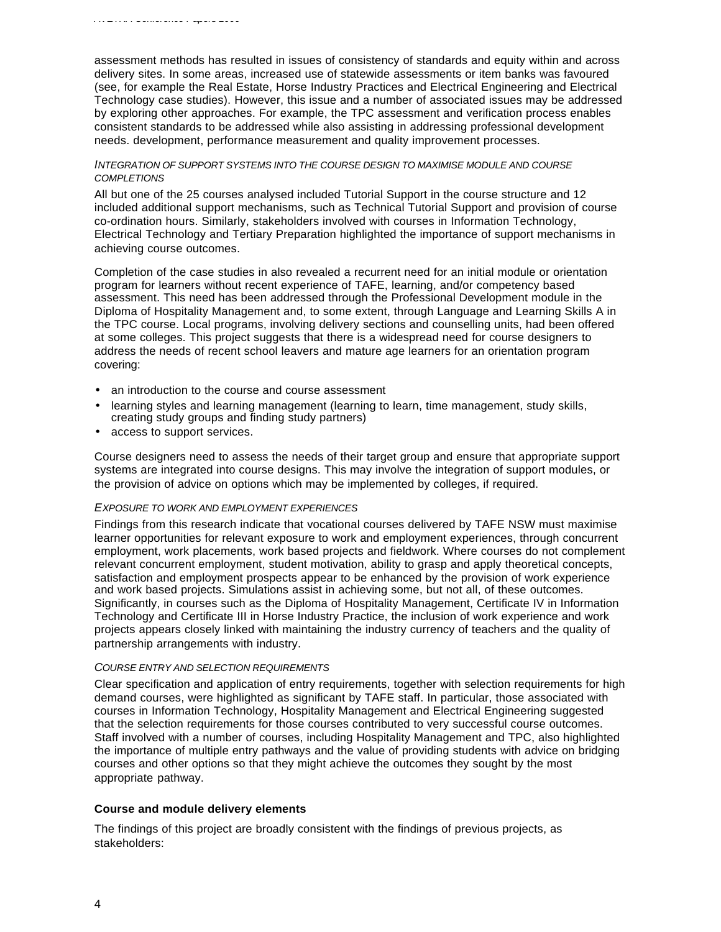assessment methods has resulted in issues of consistency of standards and equity within and across delivery sites. In some areas, increased use of statewide assessments or item banks was favoured (see, for example the Real Estate, Horse Industry Practices and Electrical Engineering and Electrical Technology case studies). However, this issue and a number of associated issues may be addressed by exploring other approaches. For example, the TPC assessment and verification process enables consistent standards to be addressed while also assisting in addressing professional development needs. development, performance measurement and quality improvement processes.

# *INTEGRATION OF SUPPORT SYSTEMS INTO THE COURSE DESIGN TO MAXIMISE MODULE AND COURSE COMPLETIONS*

All but one of the 25 courses analysed included Tutorial Support in the course structure and 12 included additional support mechanisms, such as Technical Tutorial Support and provision of course co-ordination hours. Similarly, stakeholders involved with courses in Information Technology, Electrical Technology and Tertiary Preparation highlighted the importance of support mechanisms in achieving course outcomes.

Completion of the case studies in also revealed a recurrent need for an initial module or orientation program for learners without recent experience of TAFE, learning, and/or competency based assessment. This need has been addressed through the Professional Development module in the Diploma of Hospitality Management and, to some extent, through Language and Learning Skills A in the TPC course. Local programs, involving delivery sections and counselling units, had been offered at some colleges. This project suggests that there is a widespread need for course designers to address the needs of recent school leavers and mature age learners for an orientation program covering:

- an introduction to the course and course assessment
- learning styles and learning management (learning to learn, time management, study skills, creating study groups and finding study partners)
- access to support services.

Course designers need to assess the needs of their target group and ensure that appropriate support systems are integrated into course designs. This may involve the integration of support modules, or the provision of advice on options which may be implemented by colleges, if required.

#### *EXPOSURE TO WORK AND EMPLOYMENT EXPERIENCES*

Findings from this research indicate that vocational courses delivered by TAFE NSW must maximise learner opportunities for relevant exposure to work and employment experiences, through concurrent employment, work placements, work based projects and fieldwork. Where courses do not complement relevant concurrent employment, student motivation, ability to grasp and apply theoretical concepts, satisfaction and employment prospects appear to be enhanced by the provision of work experience and work based projects. Simulations assist in achieving some, but not all, of these outcomes. Significantly, in courses such as the Diploma of Hospitality Management, Certificate IV in Information Technology and Certificate III in Horse Industry Practice, the inclusion of work experience and work projects appears closely linked with maintaining the industry currency of teachers and the quality of partnership arrangements with industry.

#### *COURSE ENTRY AND SELECTION REQUIREMENTS*

Clear specification and application of entry requirements, together with selection requirements for high demand courses, were highlighted as significant by TAFE staff. In particular, those associated with courses in Information Technology, Hospitality Management and Electrical Engineering suggested that the selection requirements for those courses contributed to very successful course outcomes. Staff involved with a number of courses, including Hospitality Management and TPC, also highlighted the importance of multiple entry pathways and the value of providing students with advice on bridging courses and other options so that they might achieve the outcomes they sought by the most appropriate pathway.

#### **Course and module delivery elements**

The findings of this project are broadly consistent with the findings of previous projects, as stakeholders: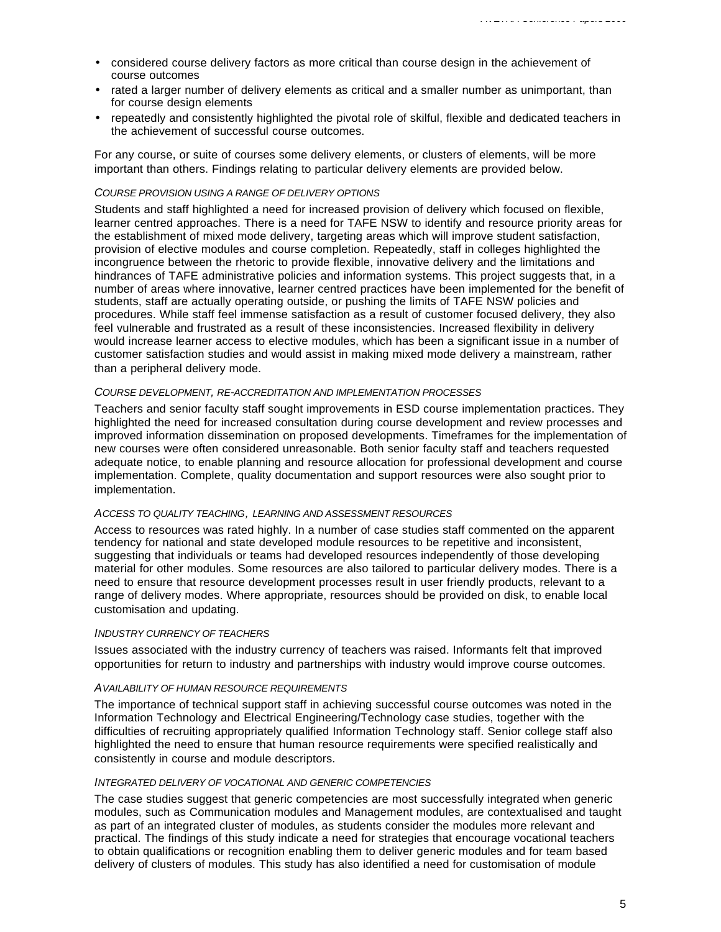- considered course delivery factors as more critical than course design in the achievement of course outcomes
- rated a larger number of delivery elements as critical and a smaller number as unimportant, than for course design elements
- repeatedly and consistently highlighted the pivotal role of skilful, flexible and dedicated teachers in the achievement of successful course outcomes.

For any course, or suite of courses some delivery elements, or clusters of elements, will be more important than others. Findings relating to particular delivery elements are provided below.

#### *COURSE PROVISION USING A RANGE OF DELIVERY OPTIONS*

Students and staff highlighted a need for increased provision of delivery which focused on flexible, learner centred approaches. There is a need for TAFE NSW to identify and resource priority areas for the establishment of mixed mode delivery, targeting areas which will improve student satisfaction, provision of elective modules and course completion. Repeatedly, staff in colleges highlighted the incongruence between the rhetoric to provide flexible, innovative delivery and the limitations and hindrances of TAFE administrative policies and information systems. This project suggests that, in a number of areas where innovative, learner centred practices have been implemented for the benefit of students, staff are actually operating outside, or pushing the limits of TAFE NSW policies and procedures. While staff feel immense satisfaction as a result of customer focused delivery, they also feel vulnerable and frustrated as a result of these inconsistencies. Increased flexibility in delivery would increase learner access to elective modules, which has been a significant issue in a number of customer satisfaction studies and would assist in making mixed mode delivery a mainstream, rather than a peripheral delivery mode.

#### *COURSE DEVELOPMENT, RE-ACCREDITATION AND IMPLEMENTATION PROCESSES*

Teachers and senior faculty staff sought improvements in ESD course implementation practices. They highlighted the need for increased consultation during course development and review processes and improved information dissemination on proposed developments. Timeframes for the implementation of new courses were often considered unreasonable. Both senior faculty staff and teachers requested adequate notice, to enable planning and resource allocation for professional development and course implementation. Complete, quality documentation and support resources were also sought prior to implementation.

#### *ACCESS TO QUALITY TEACHING, LEARNING AND ASSESSMENT RESOURCES*

Access to resources was rated highly. In a number of case studies staff commented on the apparent tendency for national and state developed module resources to be repetitive and inconsistent, suggesting that individuals or teams had developed resources independently of those developing material for other modules. Some resources are also tailored to particular delivery modes. There is a need to ensure that resource development processes result in user friendly products, relevant to a range of delivery modes. Where appropriate, resources should be provided on disk, to enable local customisation and updating.

#### *INDUSTRY CURRENCY OF TEACHERS*

Issues associated with the industry currency of teachers was raised. Informants felt that improved opportunities for return to industry and partnerships with industry would improve course outcomes.

#### *AVAILABILITY OF HUMAN RESOURCE REQUIREMENTS*

The importance of technical support staff in achieving successful course outcomes was noted in the Information Technology and Electrical Engineering/Technology case studies, together with the difficulties of recruiting appropriately qualified Information Technology staff. Senior college staff also highlighted the need to ensure that human resource requirements were specified realistically and consistently in course and module descriptors.

#### *INTEGRATED DELIVERY OF VOCATIONAL AND GENERIC COMPETENCIES*

The case studies suggest that generic competencies are most successfully integrated when generic modules, such as Communication modules and Management modules, are contextualised and taught as part of an integrated cluster of modules, as students consider the modules more relevant and practical. The findings of this study indicate a need for strategies that encourage vocational teachers to obtain qualifications or recognition enabling them to deliver generic modules and for team based delivery of clusters of modules. This study has also identified a need for customisation of module